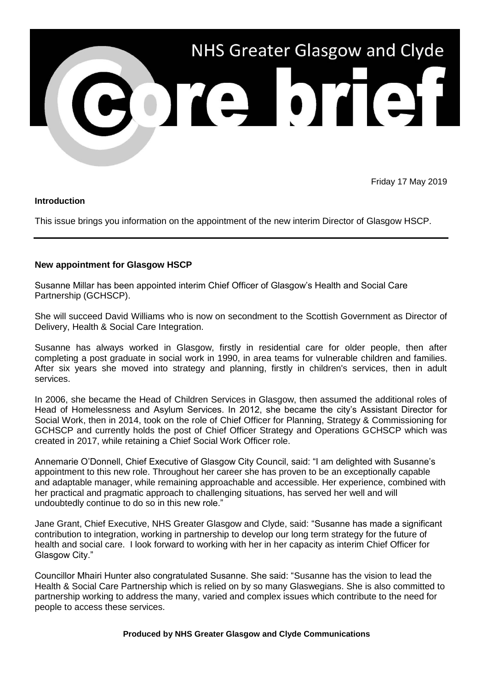

Friday 17 May 2019

## **Introduction**

This issue brings you information on the appointment of the new interim Director of Glasgow HSCP.

## **New appointment for Glasgow HSCP**

Susanne Millar has been appointed interim Chief Officer of Glasgow's Health and Social Care Partnership (GCHSCP).

She will succeed David Williams who is now on secondment to the Scottish Government as Director of Delivery, Health & Social Care Integration.

Susanne has always worked in Glasgow, firstly in residential care for older people, then after completing a post graduate in social work in 1990, in area teams for vulnerable children and families. After six years she moved into strategy and planning, firstly in children's services, then in adult services.

In 2006, she became the Head of Children Services in Glasgow, then assumed the additional roles of Head of Homelessness and Asylum Services. In 2012, she became the city's Assistant Director for Social Work, then in 2014, took on the role of Chief Officer for Planning, Strategy & Commissioning for GCHSCP and currently holds the post of Chief Officer Strategy and Operations GCHSCP which was created in 2017, while retaining a Chief Social Work Officer role.

Annemarie O'Donnell, Chief Executive of Glasgow City Council, said: "I am delighted with Susanne's appointment to this new role. Throughout her career she has proven to be an exceptionally capable and adaptable manager, while remaining approachable and accessible. Her experience, combined with her practical and pragmatic approach to challenging situations, has served her well and will undoubtedly continue to do so in this new role."

Jane Grant, Chief Executive, NHS Greater Glasgow and Clyde, said: "Susanne has made a significant contribution to integration, working in partnership to develop our long term strategy for the future of health and social care. I look forward to working with her in her capacity as interim Chief Officer for Glasgow City."

Councillor Mhairi Hunter also congratulated Susanne. She said: "Susanne has the vision to lead the Health & Social Care Partnership which is relied on by so many Glaswegians. She is also committed to partnership working to address the many, varied and complex issues which contribute to the need for people to access these services.

## **Produced by NHS Greater Glasgow and Clyde Communications**